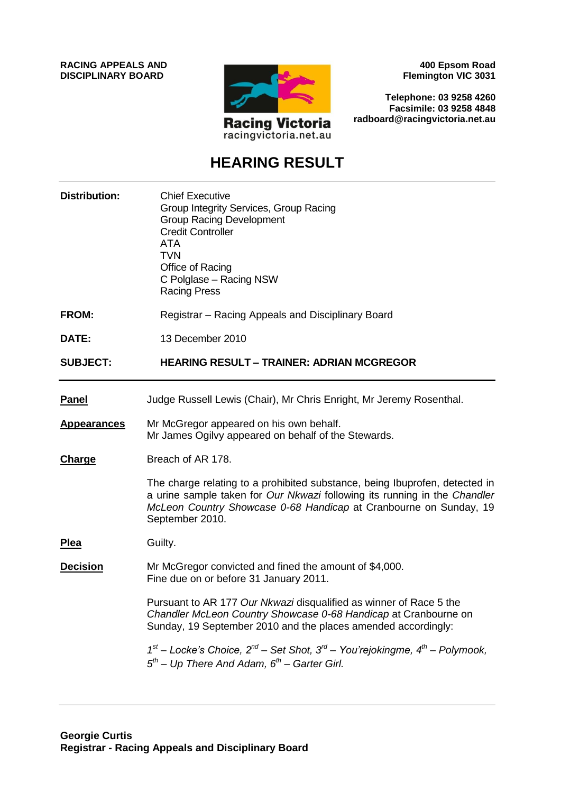**RACING APPEALS AND DISCIPLINARY BOARD**



**400 Epsom Road Flemington VIC 3031**

**Telephone: 03 9258 4260 Facsimile: 03 9258 4848 radboard@racingvictoria.net.au**

# **HEARING RESULT**

| <b>Distribution:</b> | <b>Chief Executive</b><br>Group Integrity Services, Group Racing<br><b>Group Racing Development</b><br><b>Credit Controller</b><br><b>ATA</b><br><b>TVN</b><br>Office of Racing<br>C Polglase - Racing NSW<br><b>Racing Press</b>                |
|----------------------|--------------------------------------------------------------------------------------------------------------------------------------------------------------------------------------------------------------------------------------------------|
| FROM:                | Registrar - Racing Appeals and Disciplinary Board                                                                                                                                                                                                |
| DATE:                | 13 December 2010                                                                                                                                                                                                                                 |
| <b>SUBJECT:</b>      | <b>HEARING RESULT - TRAINER: ADRIAN MCGREGOR</b>                                                                                                                                                                                                 |
| <b>Panel</b>         | Judge Russell Lewis (Chair), Mr Chris Enright, Mr Jeremy Rosenthal.                                                                                                                                                                              |
| <b>Appearances</b>   | Mr McGregor appeared on his own behalf.<br>Mr James Ogilvy appeared on behalf of the Stewards.                                                                                                                                                   |
| <b>Charge</b>        | Breach of AR 178.                                                                                                                                                                                                                                |
|                      | The charge relating to a prohibited substance, being Ibuprofen, detected in<br>a urine sample taken for Our Nkwazi following its running in the Chandler<br>McLeon Country Showcase 0-68 Handicap at Cranbourne on Sunday, 19<br>September 2010. |
| Plea                 | Guilty.                                                                                                                                                                                                                                          |
| <b>Decision</b>      | Mr McGregor convicted and fined the amount of \$4,000.<br>Fine due on or before 31 January 2011.                                                                                                                                                 |
|                      | Pursuant to AR 177 Our Nkwazi disqualified as winner of Race 5 the<br>Chandler McLeon Country Showcase 0-68 Handicap at Cranbourne on<br>Sunday, 19 September 2010 and the places amended accordingly:                                           |
|                      | $1^{st}$ – Locke's Choice, $2^{nd}$ – Set Shot, $3^{rd}$ – You'rejokingme, $4^{th}$ – Polymook,<br>$5th$ – Up There And Adam, $6th$ – Garter Girl.                                                                                               |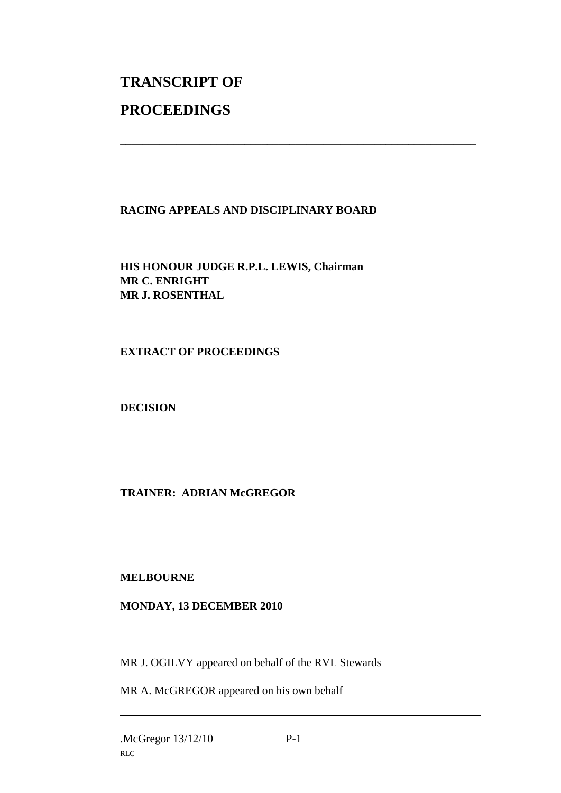# **TRANSCRIPT OF PROCEEDINGS**

### **RACING APPEALS AND DISCIPLINARY BOARD**

\_\_\_\_\_\_\_\_\_\_\_\_\_\_\_\_\_\_\_\_\_\_\_\_\_\_\_\_\_\_\_\_\_\_\_\_\_\_\_\_\_\_\_\_\_\_\_\_\_\_\_\_\_\_\_\_\_\_\_\_\_\_\_

**HIS HONOUR JUDGE R.P.L. LEWIS, Chairman MR C. ENRIGHT MR J. ROSENTHAL**

**EXTRACT OF PROCEEDINGS**

**DECISION**

## **TRAINER: ADRIAN McGREGOR**

### **MELBOURNE**

#### **MONDAY, 13 DECEMBER 2010**

MR J. OGILVY appeared on behalf of the RVL Stewards

MR A. McGREGOR appeared on his own behalf